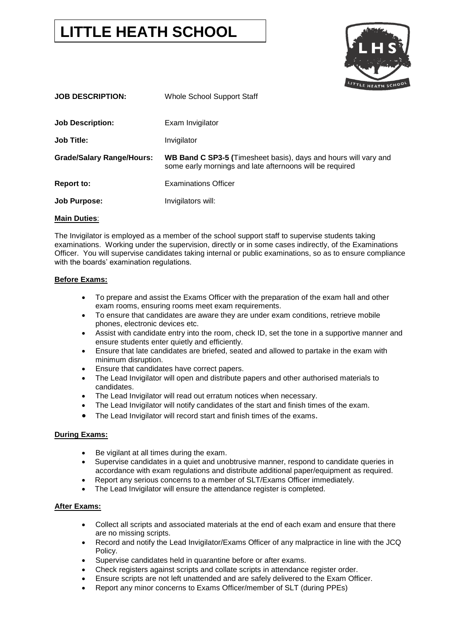# **LITTLE HEATH SCHOOL**



| <b>JOB DESCRIPTION:</b>          | <b>Whole School Support Staff</b>                                                                                                  |
|----------------------------------|------------------------------------------------------------------------------------------------------------------------------------|
| <b>Job Description:</b>          | Exam Invigilator                                                                                                                   |
| <b>Job Title:</b>                | Invigilator                                                                                                                        |
|                                  |                                                                                                                                    |
| <b>Grade/Salary Range/Hours:</b> | <b>WB Band C SP3-5 (Timesheet basis), days and hours will vary and</b><br>some early mornings and late afternoons will be required |
| Report to:                       | <b>Examinations Officer</b>                                                                                                        |

# **Main Duties**:

The Invigilator is employed as a member of the school support staff to supervise students taking examinations. Working under the supervision, directly or in some cases indirectly, of the Examinations Officer. You will supervise candidates taking internal or public examinations, so as to ensure compliance with the boards' examination regulations.

# **Before Exams:**

- To prepare and assist the Exams Officer with the preparation of the exam hall and other exam rooms, ensuring rooms meet exam requirements.
- To ensure that candidates are aware they are under exam conditions, retrieve mobile phones, electronic devices etc.
- Assist with candidate entry into the room, check ID, set the tone in a supportive manner and ensure students enter quietly and efficiently.
- Ensure that late candidates are briefed, seated and allowed to partake in the exam with minimum disruption.
- Ensure that candidates have correct papers.
- The Lead Invigilator will open and distribute papers and other authorised materials to candidates.
- The Lead Invigilator will read out erratum notices when necessary.
- The Lead Invigilator will notify candidates of the start and finish times of the exam.
- The Lead Invigilator will record start and finish times of the exams.

## **During Exams:**

- Be vigilant at all times during the exam.
- Supervise candidates in a quiet and unobtrusive manner, respond to candidate queries in accordance with exam regulations and distribute additional paper/equipment as required.
- Report any serious concerns to a member of SLT/Exams Officer immediately.
- The Lead Invigilator will ensure the attendance register is completed.

## **After Exams:**

- Collect all scripts and associated materials at the end of each exam and ensure that there are no missing scripts.
- Record and notify the Lead Invigilator/Exams Officer of any malpractice in line with the JCQ Policy.
- Supervise candidates held in quarantine before or after exams.
- Check registers against scripts and collate scripts in attendance register order.
- Ensure scripts are not left unattended and are safely delivered to the Exam Officer.
- Report any minor concerns to Exams Officer/member of SLT (during PPEs)